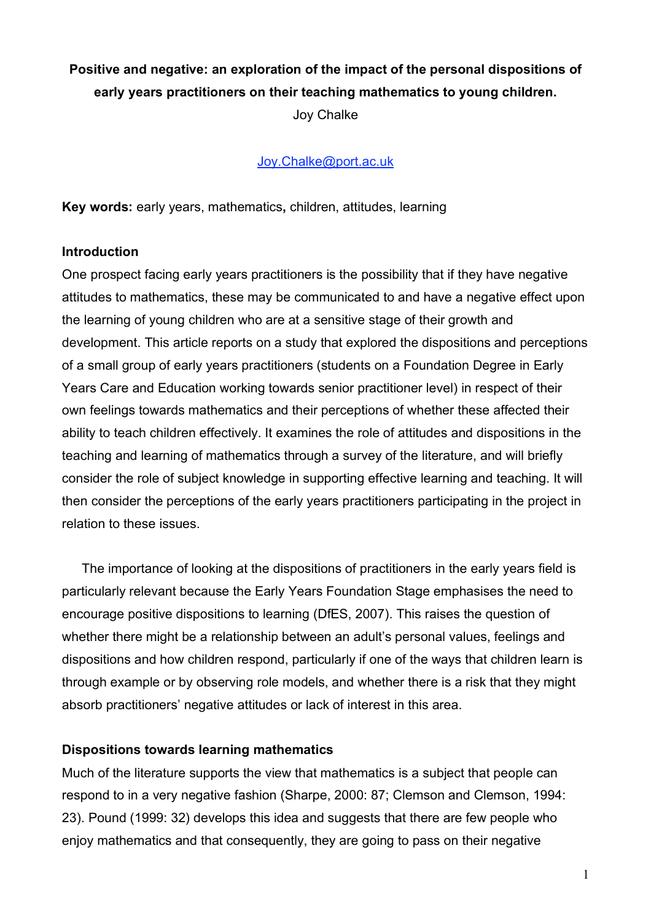# **Positive and negative: an exploration of the impact of the personal dispositions of early years practitioners on their teaching mathematics to young children.**

Joy Chalke

## Joy.Chalke@port.ac.uk

**Key words:** early years, mathematics**,** children, attitudes, learning

#### **Introduction**

One prospect facing early years practitioners is the possibility that if they have negative attitudes to mathematics, these may be communicated to and have a negative effect upon the learning of young children who are at a sensitive stage of their growth and development. This article reports on a study that explored the dispositions and perceptions of a small group of early years practitioners (students on a Foundation Degree in Early Years Care and Education working towards senior practitioner level) in respect of their own feelings towards mathematics and their perceptions of whether these affected their ability to teach children effectively. It examines the role of attitudes and dispositions in the teaching and learning of mathematics through a survey of the literature, and will briefly consider the role of subject knowledge in supporting effective learning and teaching. It will then consider the perceptions of the early years practitioners participating in the project in relation to these issues.

The importance of looking at the dispositions of practitioners in the early years field is particularly relevant because the Early Years Foundation Stage emphasises the need to encourage positive dispositions to learning (DfES, 2007). This raises the question of whether there might be a relationship between an adult's personal values, feelings and dispositions and how children respond, particularly if one of the ways that children learn is through example or by observing role models, and whether there is a risk that they might absorb practitioners' negative attitudes or lack of interest in this area.

### **Dispositions towards learning mathematics**

Much of the literature supports the view that mathematics is a subject that people can respond to in a very negative fashion (Sharpe, 2000: 87; Clemson and Clemson, 1994: 23). Pound (1999: 32) develops this idea and suggests that there are few people who enjoy mathematics and that consequently, they are going to pass on their negative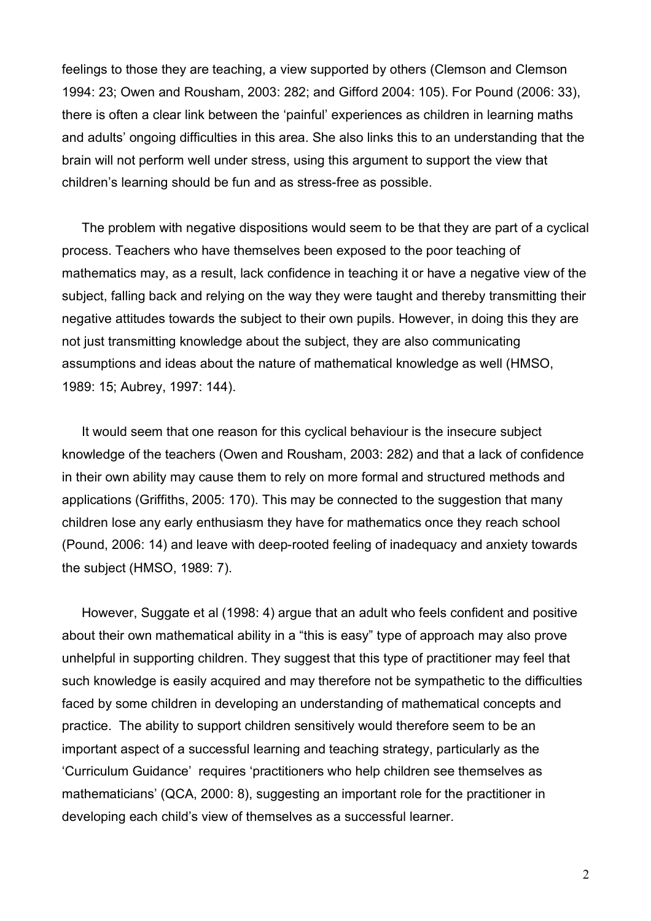feelings to those they are teaching, a view supported by others (Clemson and Clemson 1994: 23; Owen and Rousham, 2003: 282; and Gifford 2004: 105). For Pound (2006: 33), there is often a clear link between the 'painful' experiences as children in learning maths and adults' ongoing difficulties in this area. She also links this to an understanding that the brain will not perform well under stress, using this argument to support the view that children's learning should be fun and as stress-free as possible.

The problem with negative dispositions would seem to be that they are part of a cyclical process. Teachers who have themselves been exposed to the poor teaching of mathematics may, as a result, lack confidence in teaching it or have a negative view of the subject, falling back and relying on the way they were taught and thereby transmitting their negative attitudes towards the subject to their own pupils. However, in doing this they are not just transmitting knowledge about the subject, they are also communicating assumptions and ideas about the nature of mathematical knowledge as well (HMSO, 1989: 15; Aubrey, 1997: 144).

It would seem that one reason for this cyclical behaviour is the insecure subject knowledge of the teachers (Owen and Rousham, 2003: 282) and that a lack of confidence in their own ability may cause them to rely on more formal and structured methods and applications (Griffiths, 2005: 170). This may be connected to the suggestion that many children lose any early enthusiasm they have for mathematics once they reach school (Pound, 2006: 14) and leave with deep-rooted feeling of inadequacy and anxiety towards the subject (HMSO, 1989: 7).

However, Suggate et al (1998: 4) argue that an adult who feels confident and positive about their own mathematical ability in a "this is easy" type of approach may also prove unhelpful in supporting children. They suggest that this type of practitioner may feel that such knowledge is easily acquired and may therefore not be sympathetic to the difficulties faced by some children in developing an understanding of mathematical concepts and practice. The ability to support children sensitively would therefore seem to be an important aspect of a successful learning and teaching strategy, particularly as the 'Curriculum Guidance' requires 'practitioners who help children see themselves as mathematicians' (QCA, 2000: 8), suggesting an important role for the practitioner in developing each child's view of themselves as a successful learner.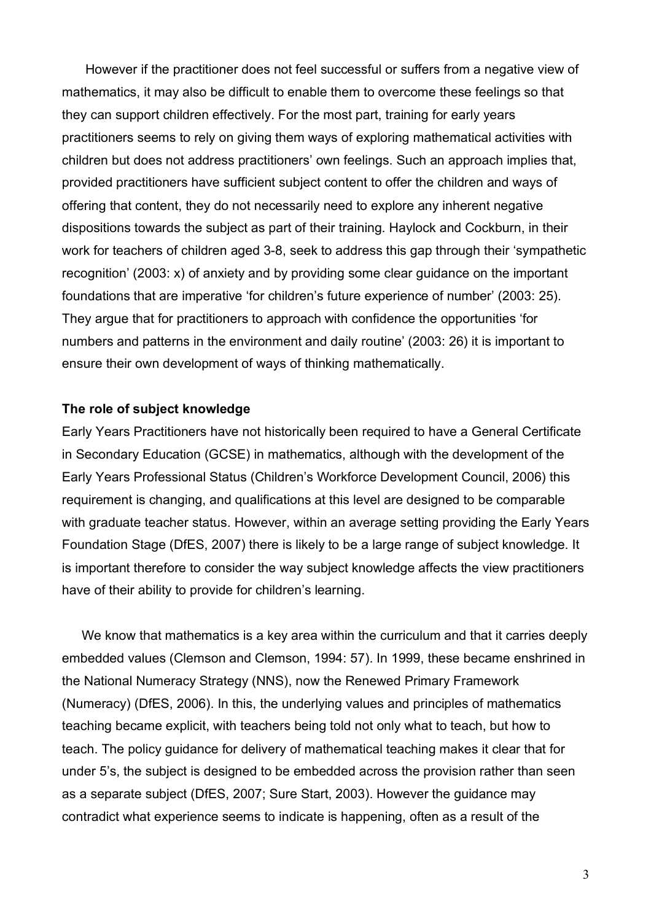However if the practitioner does not feel successful or suffers from a negative view of mathematics, it may also be difficult to enable them to overcome these feelings so that they can support children effectively. For the most part, training for early years practitioners seems to rely on giving them ways of exploring mathematical activities with children but does not address practitioners' own feelings. Such an approach implies that, provided practitioners have sufficient subject content to offer the children and ways of offering that content, they do not necessarily need to explore any inherent negative dispositions towards the subject as part of their training. Haylock and Cockburn, in their work for teachers of children aged 3-8, seek to address this gap through their 'sympathetic recognition' (2003: x) of anxiety and by providing some clear guidance on the important foundations that are imperative 'for children's future experience of number' (2003: 25). They argue that for practitioners to approach with confidence the opportunities 'for numbers and patterns in the environment and daily routine' (2003: 26) it is important to ensure their own development of ways of thinking mathematically.

### **The role of subject knowledge**

Early Years Practitioners have not historically been required to have a General Certificate in Secondary Education (GCSE) in mathematics, although with the development of the Early Years Professional Status (Children's Workforce Development Council, 2006) this requirement is changing, and qualifications at this level are designed to be comparable with graduate teacher status. However, within an average setting providing the Early Years Foundation Stage (DfES, 2007) there is likely to be a large range of subject knowledge. It is important therefore to consider the way subject knowledge affects the view practitioners have of their ability to provide for children's learning.

We know that mathematics is a key area within the curriculum and that it carries deeply embedded values (Clemson and Clemson, 1994: 57). In 1999, these became enshrined in the National Numeracy Strategy (NNS), now the Renewed Primary Framework (Numeracy) (DfES, 2006). In this, the underlying values and principles of mathematics teaching became explicit, with teachers being told not only what to teach, but how to teach. The policy guidance for delivery of mathematical teaching makes it clear that for under 5's, the subject is designed to be embedded across the provision rather than seen as a separate subject (DfES, 2007; Sure Start, 2003). However the guidance may contradict what experience seems to indicate is happening, often as a result of the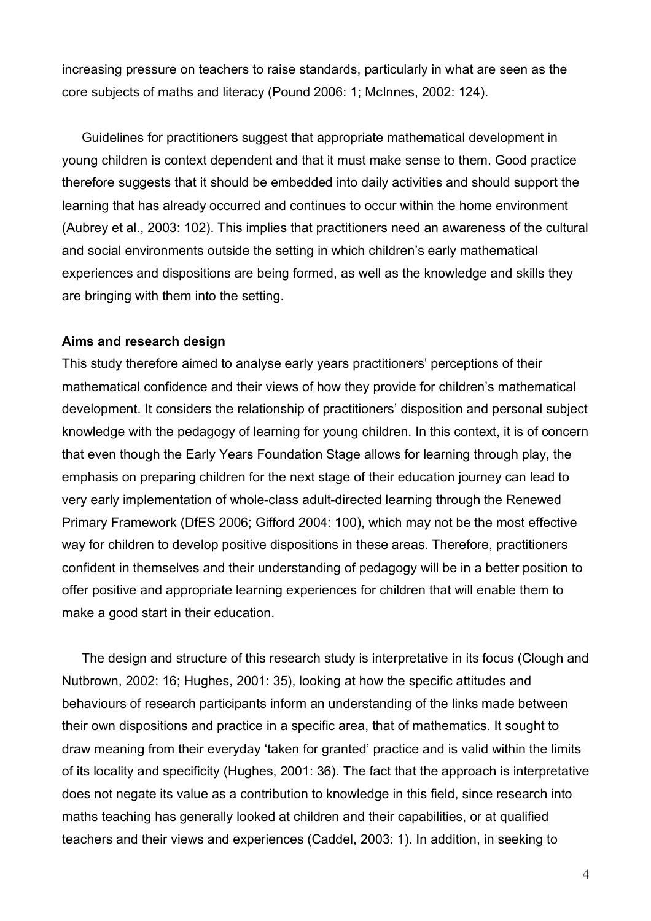increasing pressure on teachers to raise standards, particularly in what are seen as the core subjects of maths and literacy (Pound 2006: 1; McInnes, 2002: 124).

Guidelines for practitioners suggest that appropriate mathematical development in young children is context dependent and that it must make sense to them. Good practice therefore suggests that it should be embedded into daily activities and should support the learning that has already occurred and continues to occur within the home environment (Aubrey et al., 2003: 102). This implies that practitioners need an awareness of the cultural and social environments outside the setting in which children's early mathematical experiences and dispositions are being formed, as well as the knowledge and skills they are bringing with them into the setting.

#### **Aims and research design**

This study therefore aimed to analyse early years practitioners' perceptions of their mathematical confidence and their views of how they provide for children's mathematical development. It considers the relationship of practitioners' disposition and personal subject knowledge with the pedagogy of learning for young children. In this context, it is of concern that even though the Early Years Foundation Stage allows for learning through play, the emphasis on preparing children for the next stage of their education journey can lead to very early implementation of whole-class adult-directed learning through the Renewed Primary Framework (DfES 2006; Gifford 2004: 100), which may not be the most effective way for children to develop positive dispositions in these areas. Therefore, practitioners confident in themselves and their understanding of pedagogy will be in a better position to offer positive and appropriate learning experiences for children that will enable them to make a good start in their education.

The design and structure of this research study is interpretative in its focus (Clough and Nutbrown, 2002: 16; Hughes, 2001: 35), looking at how the specific attitudes and behaviours of research participants inform an understanding of the links made between their own dispositions and practice in a specific area, that of mathematics. It sought to draw meaning from their everyday 'taken for granted' practice and is valid within the limits of its locality and specificity (Hughes, 2001: 36). The fact that the approach is interpretative does not negate its value as a contribution to knowledge in this field, since research into maths teaching has generally looked at children and their capabilities, or at qualified teachers and their views and experiences (Caddel, 2003: 1). In addition, in seeking to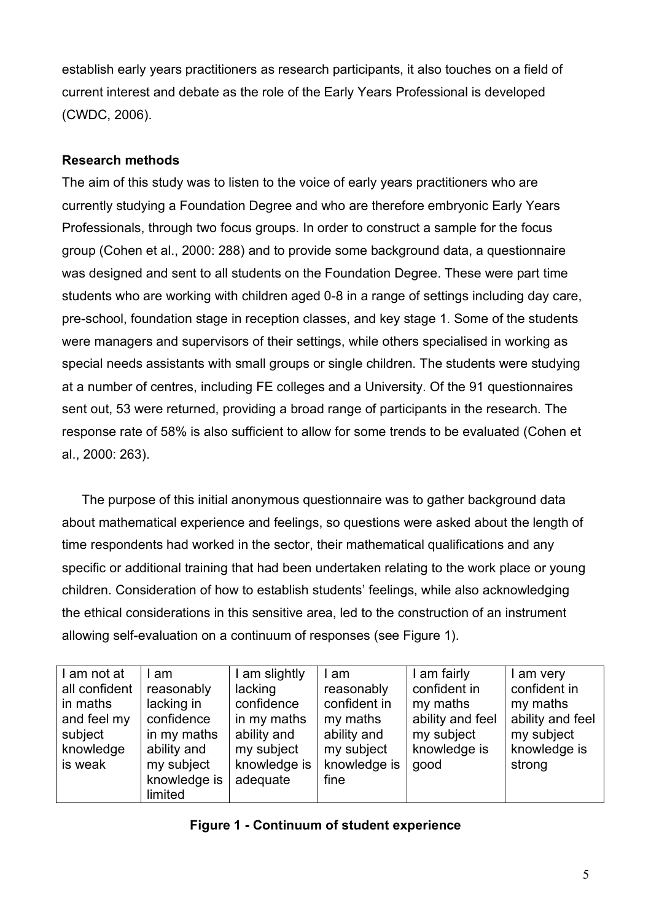establish early years practitioners as research participants, it also touches on a field of current interest and debate as the role of the Early Years Professional is developed (CWDC, 2006).

# **Research methods**

The aim of this study was to listen to the voice of early years practitioners who are currently studying a Foundation Degree and who are therefore embryonic Early Years Professionals, through two focus groups. In order to construct a sample for the focus group (Cohen et al., 2000: 288) and to provide some background data, a questionnaire was designed and sent to all students on the Foundation Degree. These were part time students who are working with children aged 0-8 in a range of settings including day care, pre-school, foundation stage in reception classes, and key stage 1. Some of the students were managers and supervisors of their settings, while others specialised in working as special needs assistants with small groups or single children. The students were studying at a number of centres, including FE colleges and a University. Of the 91 questionnaires sent out, 53 were returned, providing a broad range of participants in the research. The response rate of 58% is also sufficient to allow for some trends to be evaluated (Cohen et al., 2000: 263).

The purpose of this initial anonymous questionnaire was to gather background data about mathematical experience and feelings, so questions were asked about the length of time respondents had worked in the sector, their mathematical qualifications and any specific or additional training that had been undertaken relating to the work place or young children. Consideration of how to establish students' feelings, while also acknowledging the ethical considerations in this sensitive area, led to the construction of an instrument allowing self-evaluation on a continuum of responses (see Figure 1).

| I am not at   | am           | I am slightly | I am         | I am fairly      | I am very        |
|---------------|--------------|---------------|--------------|------------------|------------------|
| all confident | reasonably   | lacking       | reasonably   | confident in     | confident in     |
| in maths      | lacking in   | confidence    | confident in | my maths         | my maths         |
| and feel my   | confidence   | in my maths   | my maths     | ability and feel | ability and feel |
| subject       | in my maths  | ability and   | ability and  | my subject       | my subject       |
| knowledge     | ability and  | my subject    | my subject   | knowledge is     | knowledge is     |
| is weak       | my subject   | knowledge is  | knowledge is | good             | strong           |
|               | knowledge is | adequate      | fine         |                  |                  |
|               | limited      |               |              |                  |                  |

|  |  |  |  | <b>Figure 1 - Continuum of student experience</b> |
|--|--|--|--|---------------------------------------------------|
|--|--|--|--|---------------------------------------------------|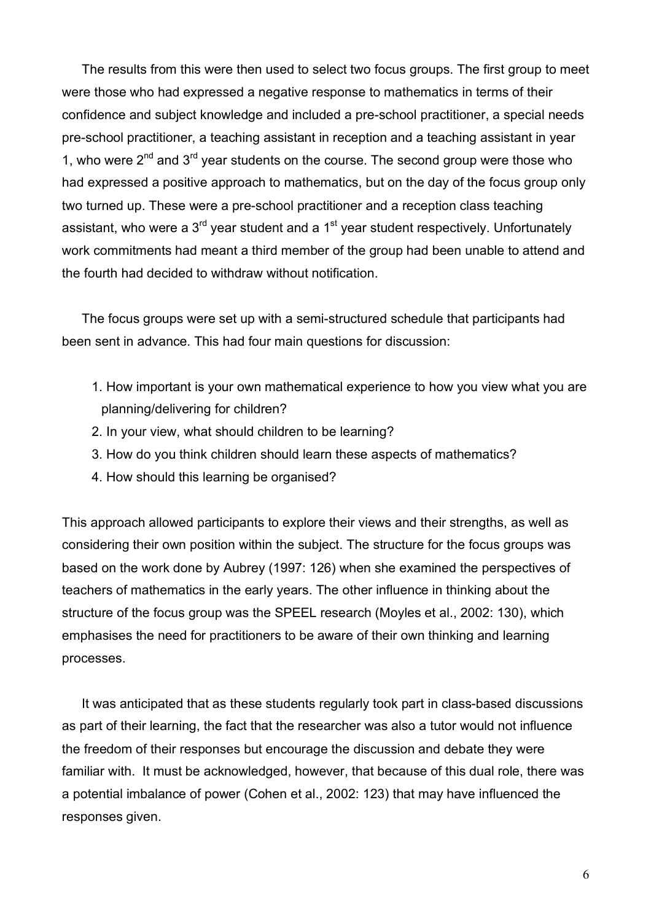The results from this were then used to select two focus groups. The first group to meet were those who had expressed a negative response to mathematics in terms of their confidence and subject knowledge and included a pre-school practitioner, a special needs pre-school practitioner, a teaching assistant in reception and a teaching assistant in year 1, who were  $2^{nd}$  and  $3^{rd}$  year students on the course. The second group were those who had expressed a positive approach to mathematics, but on the day of the focus group only two turned up. These were a pre-school practitioner and a reception class teaching assistant, who were a 3<sup>rd</sup> year student and a 1<sup>st</sup> year student respectively. Unfortunately work commitments had meant a third member of the group had been unable to attend and the fourth had decided to withdraw without notification.

The focus groups were set up with a semi-structured schedule that participants had been sent in advance. This had four main questions for discussion:

- 1. How important is your own mathematical experience to how you view what you are planning/delivering for children?
- 2. In your view, what should children to be learning?
- 3. How do you think children should learn these aspects of mathematics?
- 4. How should this learning be organised?

This approach allowed participants to explore their views and their strengths, as well as considering their own position within the subject. The structure for the focus groups was based on the work done by Aubrey (1997: 126) when she examined the perspectives of teachers of mathematics in the early years. The other influence in thinking about the structure of the focus group was the SPEEL research (Moyles et al., 2002: 130), which emphasises the need for practitioners to be aware of their own thinking and learning processes.

It was anticipated that as these students regularly took part in class-based discussions as part of their learning, the fact that the researcher was also a tutor would not influence the freedom of their responses but encourage the discussion and debate they were familiar with. It must be acknowledged, however, that because of this dual role, there was a potential imbalance of power (Cohen et al., 2002: 123) that may have influenced the responses given.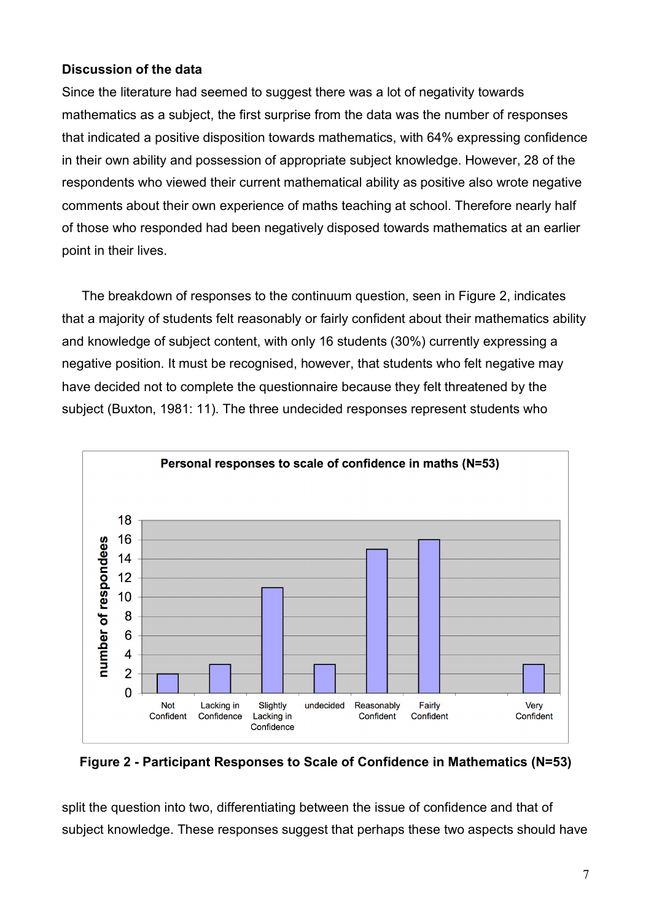# **Discussion of the data**

Since the literature had seemed to suggest there was a lot of negativity towards mathematics as a subject, the first surprise from the data was the number of responses that indicated a positive disposition towards mathematics, with 64% expressing confidence in their own ability and possession of appropriate subject knowledge. However, 28 of the respondents who viewed their current mathematical ability as positive also wrote negative comments about their own experience of maths teaching at school. Therefore nearly half of those who responded had been negatively disposed towards mathematics at an earlier point in their lives.

The breakdown of responses to the continuum question, seen in Figure 2, indicates that a majority of students felt reasonably or fairly confident about their mathematics ability and knowledge of subject content, with only 16 students (30%) currently expressing a negative position. It must be recognised, however, that students who felt negative may have decided not to complete the questionnaire because they felt threatened by the subject (Buxton, 1981: 11). The three undecided responses represent students who



**Figure 2 - Participant Responses to Scale of Confidence in Mathematics (N=53)**

split the question into two, differentiating between the issue of confidence and that of subject knowledge. These responses suggest that perhaps these two aspects should have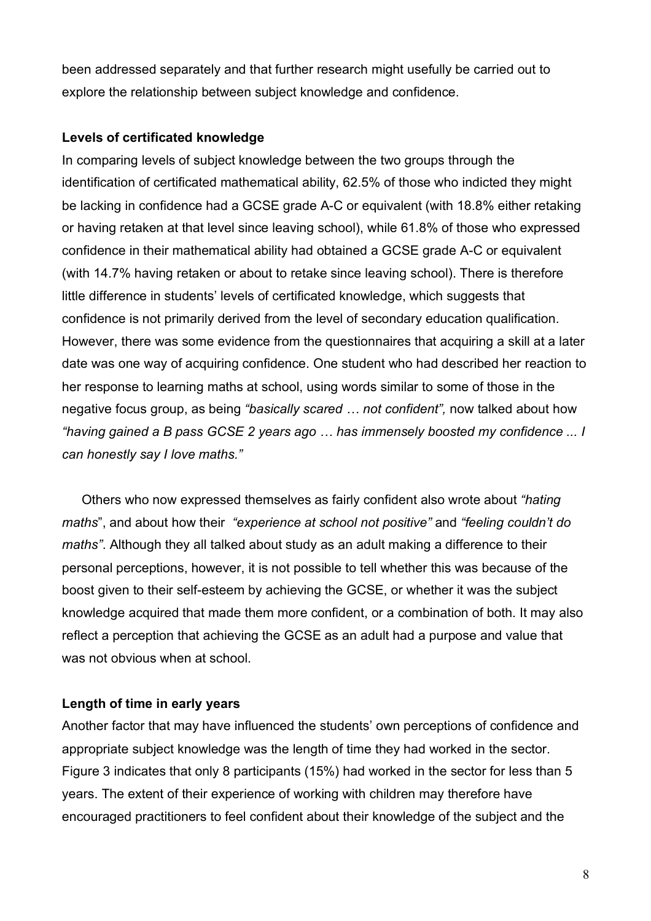been addressed separately and that further research might usefully be carried out to explore the relationship between subject knowledge and confidence.

### **Levels of certificated knowledge**

In comparing levels of subject knowledge between the two groups through the identification of certificated mathematical ability, 62.5% of those who indicted they might be lacking in confidence had a GCSE grade A-C or equivalent (with 18.8% either retaking or having retaken at that level since leaving school), while 61.8% of those who expressed confidence in their mathematical ability had obtained a GCSE grade A-C or equivalent (with 14.7% having retaken or about to retake since leaving school). There is therefore little difference in students' levels of certificated knowledge, which suggests that confidence is not primarily derived from the level of secondary education qualification. However, there was some evidence from the questionnaires that acquiring a skill at a later date was one way of acquiring confidence. One student who had described her reaction to her response to learning maths at school, using words similar to some of those in the negative focus group, as being *"basically scared … not confident",* now talked about how *"having gained a B pass GCSE 2 years ago … has immensely boosted my confidence ... I can honestly say I love maths."*

Others who now expressed themselves as fairly confident also wrote about *"hating maths*", and about how their *"experience at school not positive"* and *"feeling couldn't do maths"*. Although they all talked about study as an adult making a difference to their personal perceptions, however, it is not possible to tell whether this was because of the boost given to their self-esteem by achieving the GCSE, or whether it was the subject knowledge acquired that made them more confident, or a combination of both. It may also reflect a perception that achieving the GCSE as an adult had a purpose and value that was not obvious when at school.

# **Length of time in early years**

Another factor that may have influenced the students' own perceptions of confidence and appropriate subject knowledge was the length of time they had worked in the sector. Figure 3 indicates that only 8 participants (15%) had worked in the sector for less than 5 years. The extent of their experience of working with children may therefore have encouraged practitioners to feel confident about their knowledge of the subject and the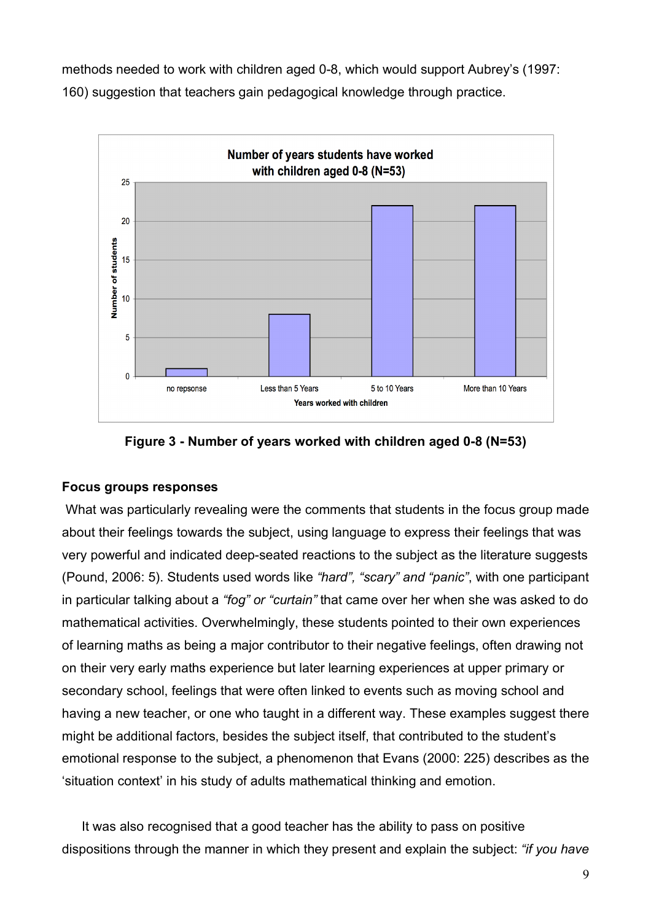methods needed to work with children aged 0-8, which would support Aubrey's (1997: 160) suggestion that teachers gain pedagogical knowledge through practice.



**Figure 3 - Number of years worked with children aged 0-8 (N=53)**

### **Focus groups responses**

What was particularly revealing were the comments that students in the focus group made about their feelings towards the subject, using language to express their feelings that was very powerful and indicated deep-seated reactions to the subject as the literature suggests (Pound, 2006: 5). Students used words like *"hard", "scary" and "panic"*, with one participant in particular talking about a *"fog" or "curtain"* that came over her when she was asked to do mathematical activities. Overwhelmingly, these students pointed to their own experiences of learning maths as being a major contributor to their negative feelings, often drawing not on their very early maths experience but later learning experiences at upper primary or secondary school, feelings that were often linked to events such as moving school and having a new teacher, or one who taught in a different way. These examples suggest there might be additional factors, besides the subject itself, that contributed to the student's emotional response to the subject, a phenomenon that Evans (2000: 225) describes as the 'situation context' in his study of adults mathematical thinking and emotion.

It was also recognised that a good teacher has the ability to pass on positive dispositions through the manner in which they present and explain the subject: *"if you have*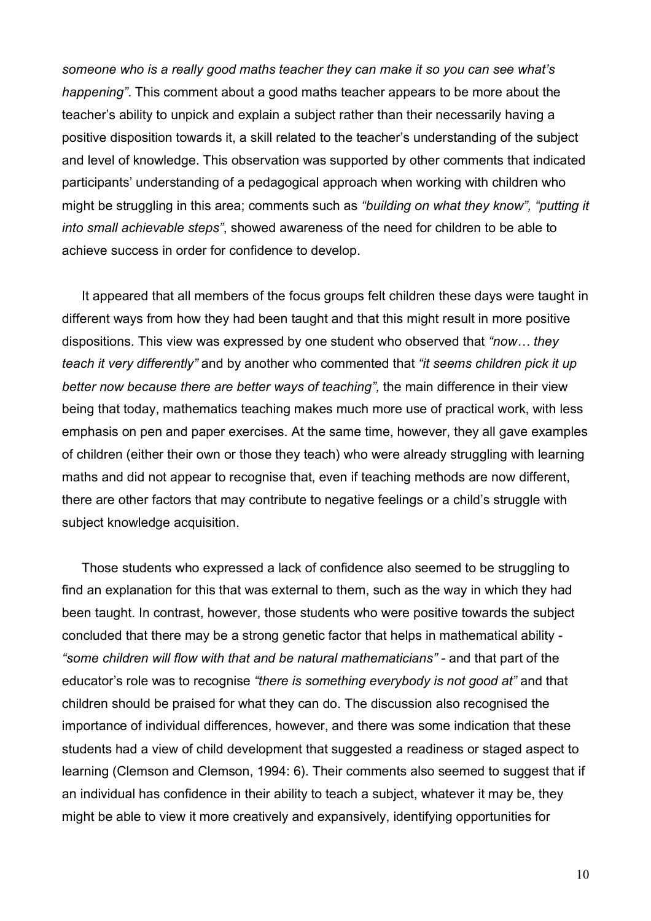*someone who is a really good maths teacher they can make it so you can see what's happening"*. This comment about a good maths teacher appears to be more about the teacher's ability to unpick and explain a subject rather than their necessarily having a positive disposition towards it, a skill related to the teacher's understanding of the subject and level of knowledge. This observation was supported by other comments that indicated participants' understanding of a pedagogical approach when working with children who might be struggling in this area; comments such as *"building on what they know", "putting it into small achievable steps"*, showed awareness of the need for children to be able to achieve success in order for confidence to develop.

It appeared that all members of the focus groups felt children these days were taught in different ways from how they had been taught and that this might result in more positive dispositions. This view was expressed by one student who observed that *"now… they teach it very differently"* and by another who commented that *"it seems children pick it up better now because there are better ways of teaching",* the main difference in their view being that today, mathematics teaching makes much more use of practical work, with less emphasis on pen and paper exercises. At the same time, however, they all gave examples of children (either their own or those they teach) who were already struggling with learning maths and did not appear to recognise that, even if teaching methods are now different, there are other factors that may contribute to negative feelings or a child's struggle with subject knowledge acquisition.

Those students who expressed a lack of confidence also seemed to be struggling to find an explanation for this that was external to them, such as the way in which they had been taught. In contrast, however, those students who were positive towards the subject concluded that there may be a strong genetic factor that helps in mathematical ability - *"some children will flow with that and be natural mathematicians" -* and that part of the educator's role was to recognise *"there is something everybody is not good at"* and that children should be praised for what they can do. The discussion also recognised the importance of individual differences, however, and there was some indication that these students had a view of child development that suggested a readiness or staged aspect to learning (Clemson and Clemson, 1994: 6). Their comments also seemed to suggest that if an individual has confidence in their ability to teach a subject, whatever it may be, they might be able to view it more creatively and expansively, identifying opportunities for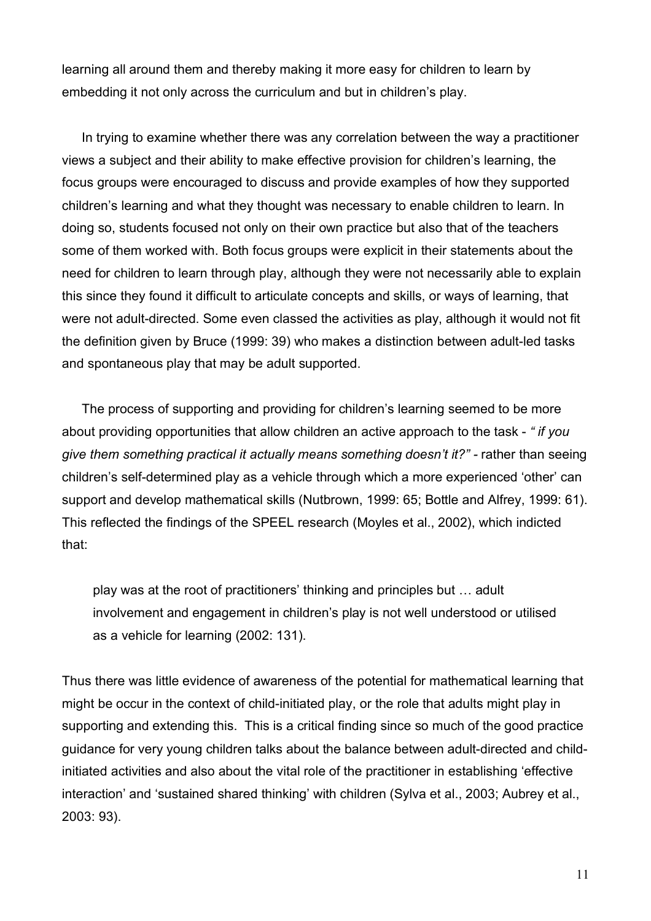learning all around them and thereby making it more easy for children to learn by embedding it not only across the curriculum and but in children's play.

In trying to examine whether there was any correlation between the way a practitioner views a subject and their ability to make effective provision for children's learning, the focus groups were encouraged to discuss and provide examples of how they supported children's learning and what they thought was necessary to enable children to learn. In doing so, students focused not only on their own practice but also that of the teachers some of them worked with. Both focus groups were explicit in their statements about the need for children to learn through play, although they were not necessarily able to explain this since they found it difficult to articulate concepts and skills, or ways of learning, that were not adult-directed. Some even classed the activities as play, although it would not fit the definition given by Bruce (1999: 39) who makes a distinction between adult-led tasks and spontaneous play that may be adult supported.

The process of supporting and providing for children's learning seemed to be more about providing opportunities that allow children an active approach to the task - *" if you give them something practical it actually means something doesn't it?" -* rather than seeing children's self-determined play as a vehicle through which a more experienced 'other' can support and develop mathematical skills (Nutbrown, 1999: 65; Bottle and Alfrey, 1999: 61). This reflected the findings of the SPEEL research (Moyles et al., 2002), which indicted that:

play was at the root of practitioners' thinking and principles but … adult involvement and engagement in children's play is not well understood or utilised as a vehicle for learning (2002: 131).

Thus there was little evidence of awareness of the potential for mathematical learning that might be occur in the context of child-initiated play, or the role that adults might play in supporting and extending this. This is a critical finding since so much of the good practice guidance for very young children talks about the balance between adult-directed and childinitiated activities and also about the vital role of the practitioner in establishing 'effective interaction' and 'sustained shared thinking' with children (Sylva et al., 2003; Aubrey et al., 2003: 93).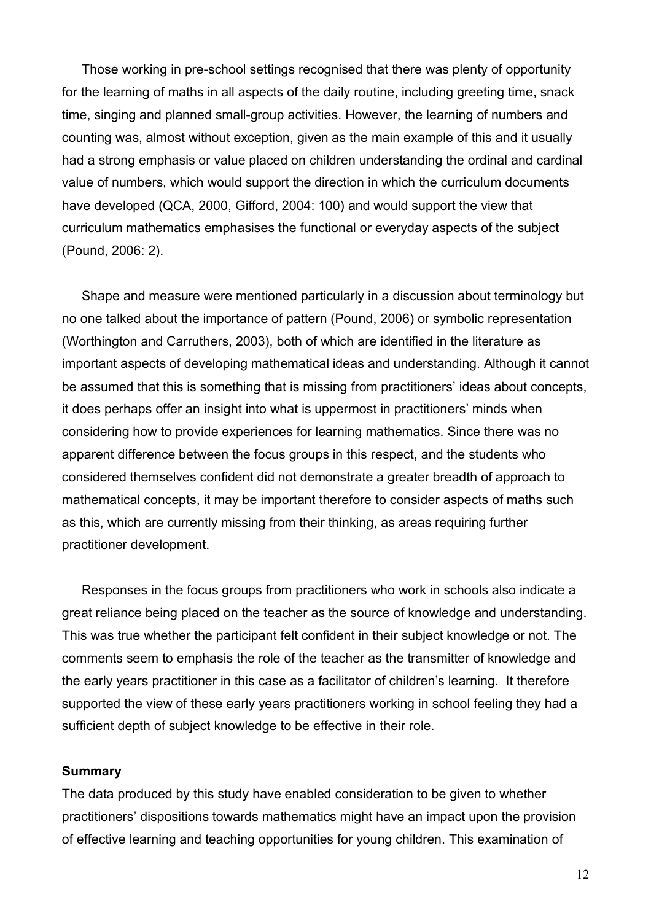Those working in pre-school settings recognised that there was plenty of opportunity for the learning of maths in all aspects of the daily routine, including greeting time, snack time, singing and planned small-group activities. However, the learning of numbers and counting was, almost without exception, given as the main example of this and it usually had a strong emphasis or value placed on children understanding the ordinal and cardinal value of numbers, which would support the direction in which the curriculum documents have developed (QCA, 2000, Gifford, 2004: 100) and would support the view that curriculum mathematics emphasises the functional or everyday aspects of the subject (Pound, 2006: 2).

Shape and measure were mentioned particularly in a discussion about terminology but no one talked about the importance of pattern (Pound, 2006) or symbolic representation (Worthington and Carruthers, 2003), both of which are identified in the literature as important aspects of developing mathematical ideas and understanding. Although it cannot be assumed that this is something that is missing from practitioners' ideas about concepts, it does perhaps offer an insight into what is uppermost in practitioners' minds when considering how to provide experiences for learning mathematics. Since there was no apparent difference between the focus groups in this respect, and the students who considered themselves confident did not demonstrate a greater breadth of approach to mathematical concepts, it may be important therefore to consider aspects of maths such as this, which are currently missing from their thinking, as areas requiring further practitioner development.

Responses in the focus groups from practitioners who work in schools also indicate a great reliance being placed on the teacher as the source of knowledge and understanding. This was true whether the participant felt confident in their subject knowledge or not. The comments seem to emphasis the role of the teacher as the transmitter of knowledge and the early years practitioner in this case as a facilitator of children's learning. It therefore supported the view of these early years practitioners working in school feeling they had a sufficient depth of subject knowledge to be effective in their role.

#### **Summary**

The data produced by this study have enabled consideration to be given to whether practitioners' dispositions towards mathematics might have an impact upon the provision of effective learning and teaching opportunities for young children. This examination of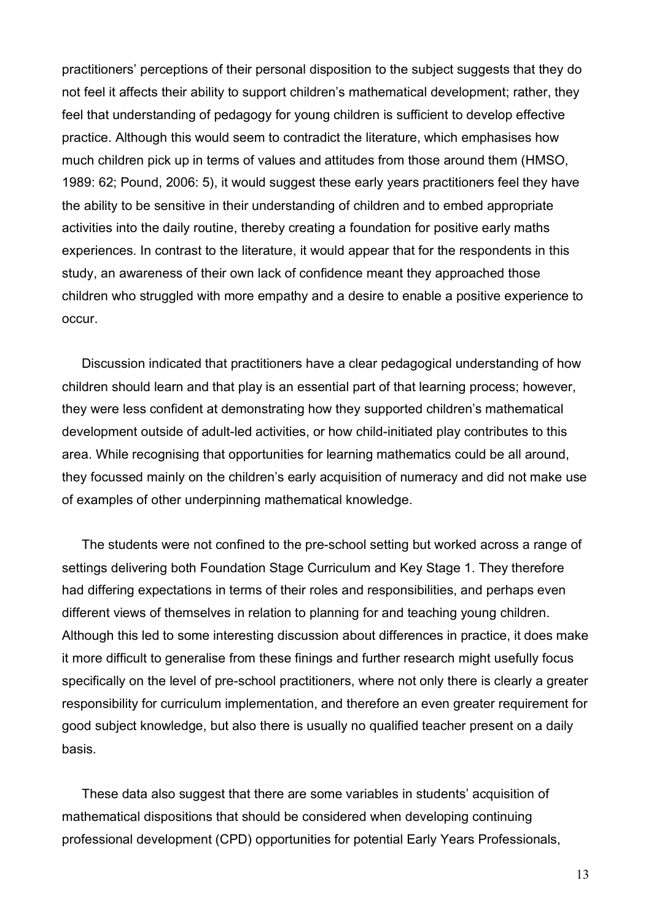practitioners' perceptions of their personal disposition to the subject suggests that they do not feel it affects their ability to support children's mathematical development; rather, they feel that understanding of pedagogy for young children is sufficient to develop effective practice. Although this would seem to contradict the literature, which emphasises how much children pick up in terms of values and attitudes from those around them (HMSO, 1989: 62; Pound, 2006: 5), it would suggest these early years practitioners feel they have the ability to be sensitive in their understanding of children and to embed appropriate activities into the daily routine, thereby creating a foundation for positive early maths experiences. In contrast to the literature, it would appear that for the respondents in this study, an awareness of their own lack of confidence meant they approached those children who struggled with more empathy and a desire to enable a positive experience to occur.

Discussion indicated that practitioners have a clear pedagogical understanding of how children should learn and that play is an essential part of that learning process; however, they were less confident at demonstrating how they supported children's mathematical development outside of adult-led activities, or how child-initiated play contributes to this area. While recognising that opportunities for learning mathematics could be all around, they focussed mainly on the children's early acquisition of numeracy and did not make use of examples of other underpinning mathematical knowledge.

The students were not confined to the pre-school setting but worked across a range of settings delivering both Foundation Stage Curriculum and Key Stage 1. They therefore had differing expectations in terms of their roles and responsibilities, and perhaps even different views of themselves in relation to planning for and teaching young children. Although this led to some interesting discussion about differences in practice, it does make it more difficult to generalise from these finings and further research might usefully focus specifically on the level of pre-school practitioners, where not only there is clearly a greater responsibility for curriculum implementation, and therefore an even greater requirement for good subject knowledge, but also there is usually no qualified teacher present on a daily basis.

These data also suggest that there are some variables in students' acquisition of mathematical dispositions that should be considered when developing continuing professional development (CPD) opportunities for potential Early Years Professionals,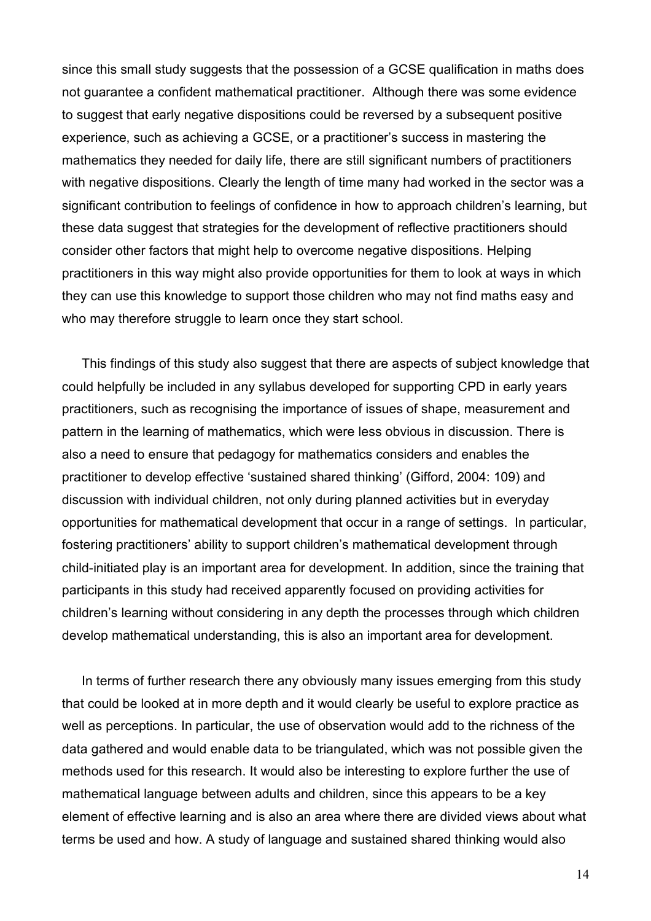since this small study suggests that the possession of a GCSE qualification in maths does not guarantee a confident mathematical practitioner. Although there was some evidence to suggest that early negative dispositions could be reversed by a subsequent positive experience, such as achieving a GCSE, or a practitioner's success in mastering the mathematics they needed for daily life, there are still significant numbers of practitioners with negative dispositions. Clearly the length of time many had worked in the sector was a significant contribution to feelings of confidence in how to approach children's learning, but these data suggest that strategies for the development of reflective practitioners should consider other factors that might help to overcome negative dispositions. Helping practitioners in this way might also provide opportunities for them to look at ways in which they can use this knowledge to support those children who may not find maths easy and who may therefore struggle to learn once they start school.

This findings of this study also suggest that there are aspects of subject knowledge that could helpfully be included in any syllabus developed for supporting CPD in early years practitioners, such as recognising the importance of issues of shape, measurement and pattern in the learning of mathematics, which were less obvious in discussion. There is also a need to ensure that pedagogy for mathematics considers and enables the practitioner to develop effective 'sustained shared thinking' (Gifford, 2004: 109) and discussion with individual children, not only during planned activities but in everyday opportunities for mathematical development that occur in a range of settings. In particular, fostering practitioners' ability to support children's mathematical development through child-initiated play is an important area for development. In addition, since the training that participants in this study had received apparently focused on providing activities for children's learning without considering in any depth the processes through which children develop mathematical understanding, this is also an important area for development.

In terms of further research there any obviously many issues emerging from this study that could be looked at in more depth and it would clearly be useful to explore practice as well as perceptions. In particular, the use of observation would add to the richness of the data gathered and would enable data to be triangulated, which was not possible given the methods used for this research. It would also be interesting to explore further the use of mathematical language between adults and children, since this appears to be a key element of effective learning and is also an area where there are divided views about what terms be used and how. A study of language and sustained shared thinking would also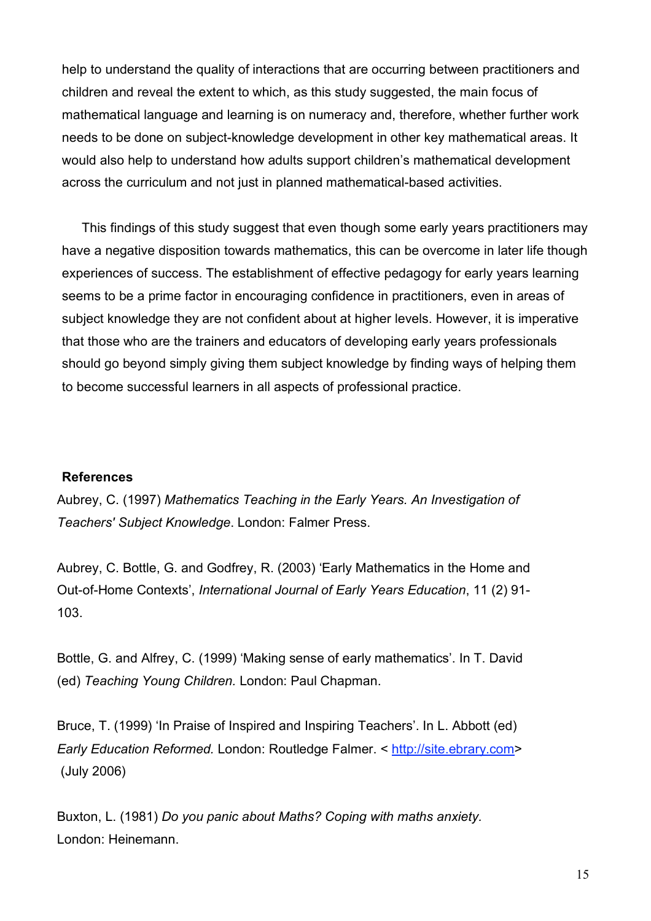help to understand the quality of interactions that are occurring between practitioners and children and reveal the extent to which, as this study suggested, the main focus of mathematical language and learning is on numeracy and, therefore, whether further work needs to be done on subject-knowledge development in other key mathematical areas. It would also help to understand how adults support children's mathematical development across the curriculum and not just in planned mathematical-based activities.

This findings of this study suggest that even though some early years practitioners may have a negative disposition towards mathematics, this can be overcome in later life though experiences of success. The establishment of effective pedagogy for early years learning seems to be a prime factor in encouraging confidence in practitioners, even in areas of subject knowledge they are not confident about at higher levels. However, it is imperative that those who are the trainers and educators of developing early years professionals should go beyond simply giving them subject knowledge by finding ways of helping them to become successful learners in all aspects of professional practice.

### **References**

Aubrey, C. (1997) *Mathematics Teaching in the Early Years. An Investigation of Teachers' Subject Knowledge*. London: Falmer Press.

Aubrey, C. Bottle, G. and Godfrey, R. (2003) 'Early Mathematics in the Home and Out-of-Home Contexts', *International Journal of Early Years Education*, 11 (2) 91- 103.

Bottle, G. and Alfrey, C. (1999) 'Making sense of early mathematics'. In T. David (ed) *Teaching Young Children.* London: Paul Chapman.

Bruce, T. (1999) 'In Praise of Inspired and Inspiring Teachers'. In L. Abbott (ed) *Early Education Reformed.* London: Routledge Falmer. < http://site.ebrary.com> (July 2006)

Buxton, L. (1981) *Do you panic about Maths? Coping with maths anxiety.* London: Heinemann.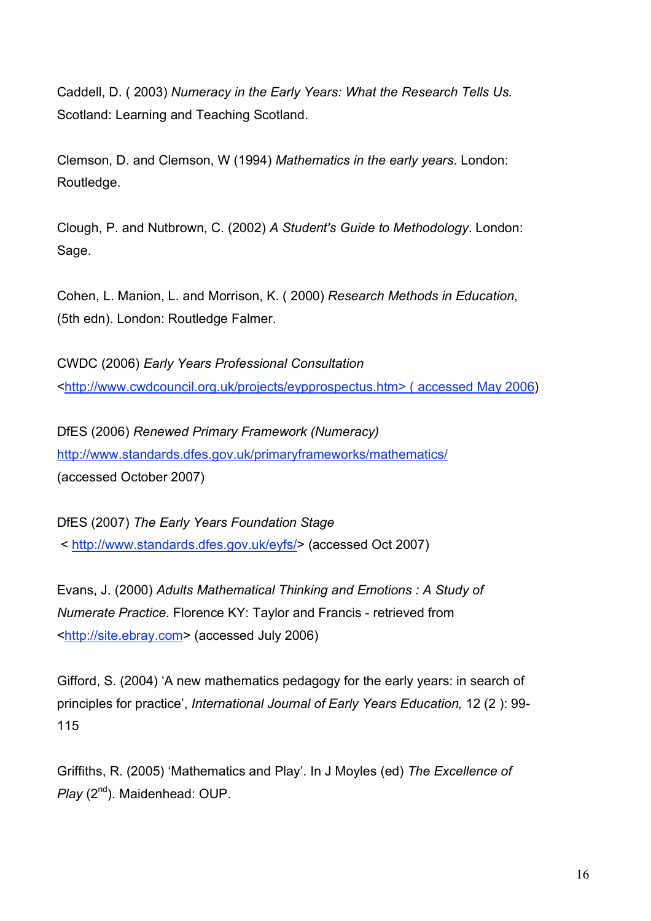Caddell, D. ( 2003) *Numeracy in the Early Years: What the Research Tells Us.* Scotland: Learning and Teaching Scotland.

Clemson, D. and Clemson, W (1994) *Mathematics in the early years*. London: Routledge.

Clough, P. and Nutbrown, C. (2002) *A Student's Guide to Methodology*. London: Sage.

Cohen, L. Manion, L. and Morrison, K. ( 2000) *Research Methods in Education*, (5th edn). London: Routledge Falmer.

CWDC (2006) *Early Years Professional Consultation* <http://www.cwdcouncil.org.uk/projects/eypprospectus.htm> ( accessed May 2006)

DfES (2006) *Renewed Primary Framework (Numeracy)* http://www.standards.dfes.gov.uk/primaryframeworks/mathematics/ (accessed October 2007)

DfES (2007) *The Early Years Foundation Stage* < http://www.standards.dfes.gov.uk/eyfs/> (accessed Oct 2007)

Evans, J. (2000) *Adults Mathematical Thinking and Emotions : A Study of Numerate Practice.* Florence KY: Taylor and Francis - retrieved from <http://site.ebray.com> (accessed July 2006)

Gifford, S. (2004) 'A new mathematics pedagogy for the early years: in search of principles for practice', *International Journal of Early Years Education,* 12 (2 ): 99- 115

Griffiths, R. (2005) 'Mathematics and Play'. In J Moyles (ed) *The Excellence of* Play (2<sup>nd</sup>). Maidenhead: OUP.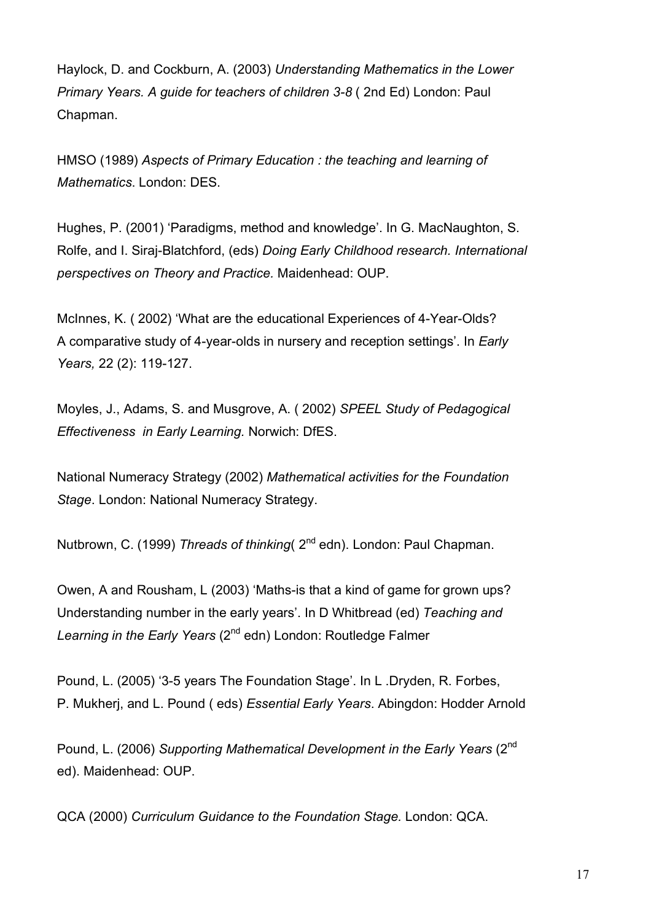Haylock, D. and Cockburn, A. (2003) *Understanding Mathematics in the Lower Primary Years. A guide for teachers of children 3-8* ( 2nd Ed) London: Paul Chapman.

HMSO (1989) *Aspects of Primary Education : the teaching and learning of Mathematics*. London: DES.

Hughes, P. (2001) 'Paradigms, method and knowledge'. In G. MacNaughton, S. Rolfe, and I. Siraj-Blatchford, (eds) *Doing Early Childhood research. International perspectives on Theory and Practice.* Maidenhead: OUP.

McInnes, K. ( 2002) 'What are the educational Experiences of 4-Year-Olds? A comparative study of 4-year-olds in nursery and reception settings'. In *Early Years,* 22 (2): 119-127.

Moyles, J., Adams, S. and Musgrove, A. ( 2002) *SPEEL Study of Pedagogical Effectiveness in Early Learning.* Norwich: DfES.

National Numeracy Strategy (2002) *Mathematical activities for the Foundation Stage*. London: National Numeracy Strategy.

Nutbrown, C. (1999) *Threads of thinking* ( $2<sup>nd</sup>$  edn). London: Paul Chapman.

Owen, A and Rousham, L (2003) 'Maths-is that a kind of game for grown ups? Understanding number in the early years'. In D Whitbread (ed) *Teaching and Learning in the Early Years* (2nd edn) London: Routledge Falmer

Pound, L. (2005) '3-5 years The Foundation Stage'. In L .Dryden, R. Forbes, P. Mukherj, and L. Pound ( eds) *Essential Early Years*. Abingdon: Hodder Arnold

Pound, L. (2006) *Supporting Mathematical Development in the Early Years* (2nd ed). Maidenhead: OUP.

QCA (2000) *Curriculum Guidance to the Foundation Stage.* London: QCA.